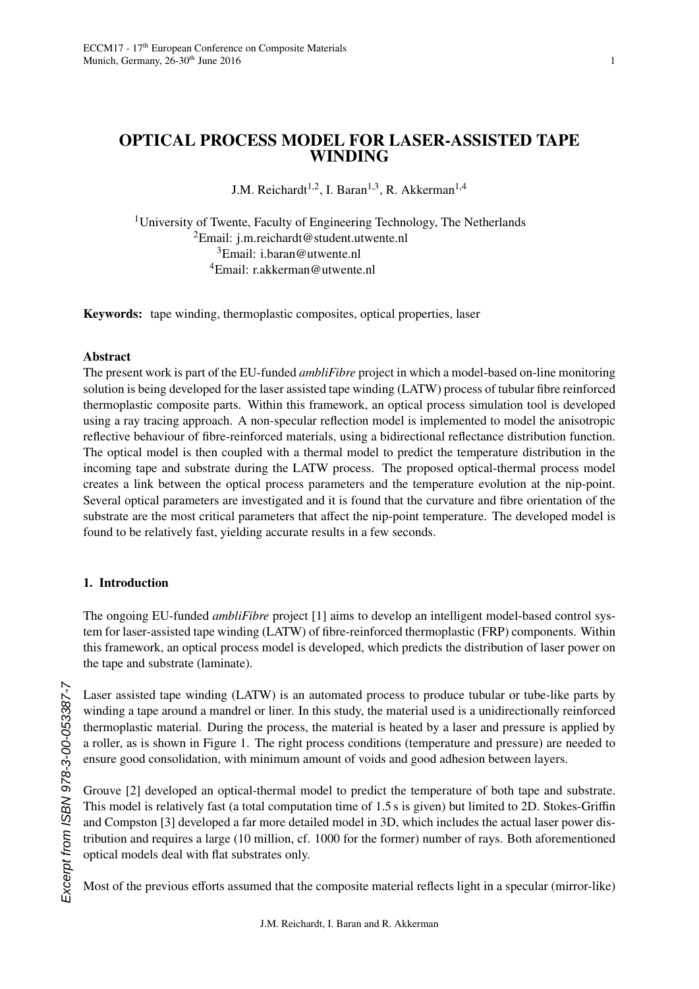# OPTICAL PROCESS MODEL FOR LASER-ASSISTED TAPE WINDING

J.M. Reichardt<sup>1,2</sup>, I. Baran<sup>1,3</sup>, R. Akkerman<sup>1,4</sup>

<sup>1</sup>University of Twente, Faculty of Engineering Technology, The Netherlands Email: j.m.reichardt@student.utwente.nl Email: i.baran@utwente.nl Email: r.akkerman@utwente.nl

Keywords: tape winding, thermoplastic composites, optical properties, laser

#### Abstract

The present work is part of the EU-funded *ambliFibre* project in which a model-based on-line monitoring solution is being developed for the laser assisted tape winding (LATW) process of tubular fibre reinforced thermoplastic composite parts. Within this framework, an optical process simulation tool is developed using a ray tracing approach. A non-specular reflection model is implemented to model the anisotropic reflective behaviour of fibre-reinforced materials, using a bidirectional reflectance distribution function. The optical model is then coupled with a thermal model to predict the temperature distribution in the incoming tape and substrate during the LATW process. The proposed optical-thermal process model creates a link between the optical process parameters and the temperature evolution at the nip-point. Several optical parameters are investigated and it is found that the curvature and fibre orientation of the substrate are the most critical parameters that affect the nip-point temperature. The developed model is found to be relatively fast, yielding accurate results in a few seconds.

## 1. Introduction

The ongoing EU-funded *ambliFibre* project [1] aims to develop an intelligent model-based control system for laser-assisted tape winding (LATW) of fibre-reinforced thermoplastic (FRP) components. Within this framework, an optical process model is developed, which predicts the distribution of laser power on the tape and substrate (laminate).

Laser assisted tape winding (LATW) is an automated process to produce tubular or tube-like parts by winding a tape around a mandrel or liner. In this study, the material used is a unidirectionally reinforced thermoplastic material. During the process, the material is heated by a laser and pressure is applied by a roller, as is shown in Figure 1. The right process conditions (temperature and pressure) are needed to ensure good consolidation, with minimum amount of voids and good adhesion between layers.

Grouve [2] developed an optical-thermal model to predict the temperature of both tape and substrate. This model is relatively fast (a total computation time of 1.5 s is given) but limited to 2D. Stokes-Griffi<sup>n</sup> and Compston [3] developed a far more detailed model in 3D, which includes the actual laser power distribution and requires a large (10 million, cf. 1000 for the former) number of rays. Both aforementioned optical models deal with flat substrates only.

Most of the previous efforts assumed that the composite material reflects light in a specular (mirror-like)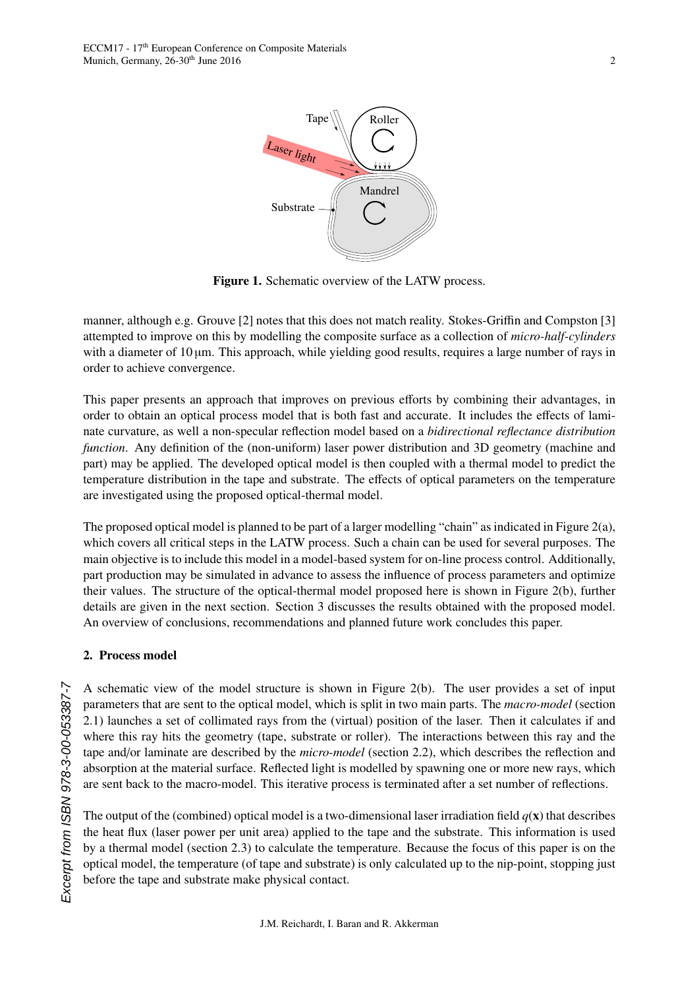

Figure 1. Schematic overview of the LATW process.

manner, although e.g. Grouve [2] notes that this does not match reality. Stokes-Griffin and Compston [3] attempted to improve on this by modelling the composite surface as a collection of *micro-half-cylinders* with a diameter of  $10 \mu m$ . This approach, while yielding good results, requires a large number of rays in order to achieve convergence.

This paper presents an approach that improves on previous efforts by combining their advantages, in order to obtain an optical process model that is both fast and accurate. It includes the effects of laminate curvature, as well a non-specular reflection model based on a *bidirectional reflectance distribution function*. Any definition of the (non-uniform) laser power distribution and 3D geometry (machine and part) may be applied. The developed optical model is then coupled with a thermal model to predict the temperature distribution in the tape and substrate. The effects of optical parameters on the temperature are investigated using the proposed optical-thermal model.

The proposed optical model is planned to be part of a larger modelling "chain" as indicated in Figure 2(a), which covers all critical steps in the LATW process. Such a chain can be used for several purposes. The main objective is to include this model in a model-based system for on-line process control. Additionally, part production may be simulated in advance to assess the influence of process parameters and optimize their values. The structure of the optical-thermal model proposed here is shown in Figure 2(b), further details are given in the next section. Section 3 discusses the results obtained with the proposed model. An overview of conclusions, recommendations and planned future work concludes this paper.

## 2. Process model

A schematic view of the model structure is shown in Figure 2(b). The user provides a set of input parameters that are sent to the optical model, which is split in two main parts. The *macro-model* (section 2.1) launches a set of collimated rays from the (virtual) position of the laser. Then it calculates if and where this ray hits the geometry (tape, substrate or roller). The interactions between this ray and the tape and/or laminate are described by the *micro-model* (section 2.2), which describes the reflection and absorption at the material surface. Reflected light is modelled by spawning one or more new rays, which are sent back to the macro-model. This iterative process is terminated after a set number of reflections.

The output of the (combined) optical model is a two-dimensional laser irradiation field  $q(x)$  that describes the heat flux (laser power per unit area) applied to the tape and the substrate. This information is used by a thermal model (section 2.3) to calculate the temperature. Because the focus of this paper is on the optical model, the temperature (of tape and substrate) is only calculated up to the nip-point, stopping just before the tape and substrate make physical contact.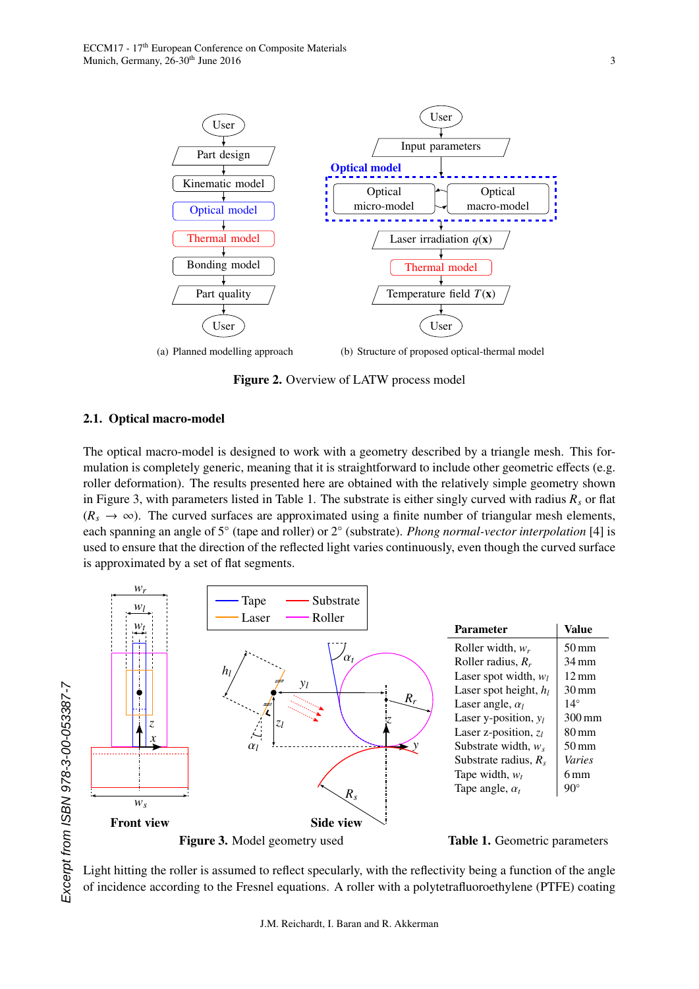

Figure 2. Overview of LATW process model

## 2.1. Optical macro-model

The optical macro-model is designed to work with a geometry described by a triangle mesh. This formulation is completely generic, meaning that it is straightforward to include other geometric effects (e.g. roller deformation). The results presented here are obtained with the relatively simple geometry shown in Figure 3, with parameters listed in Table 1. The substrate is either singly curved with radius  $R_s$  or flat  $(R_s \rightarrow \infty)$ . The curved surfaces are approximated using a finite number of triangular mesh elements, each spanning an angle of 5° (tape and roller) or 2° (substrate). *Phong normal-vector interpolation* [4] is used to ensure that the direction of the reflected light varies continuously, even though the curved surface is approximated by a set of flat segments.



Light hitting the roller is assumed to reflect specularly, with the reflectivity being a function of the angle of incidence according to the Fresnel equations. A roller with a polytetrafluoroethylene (PTFE) coating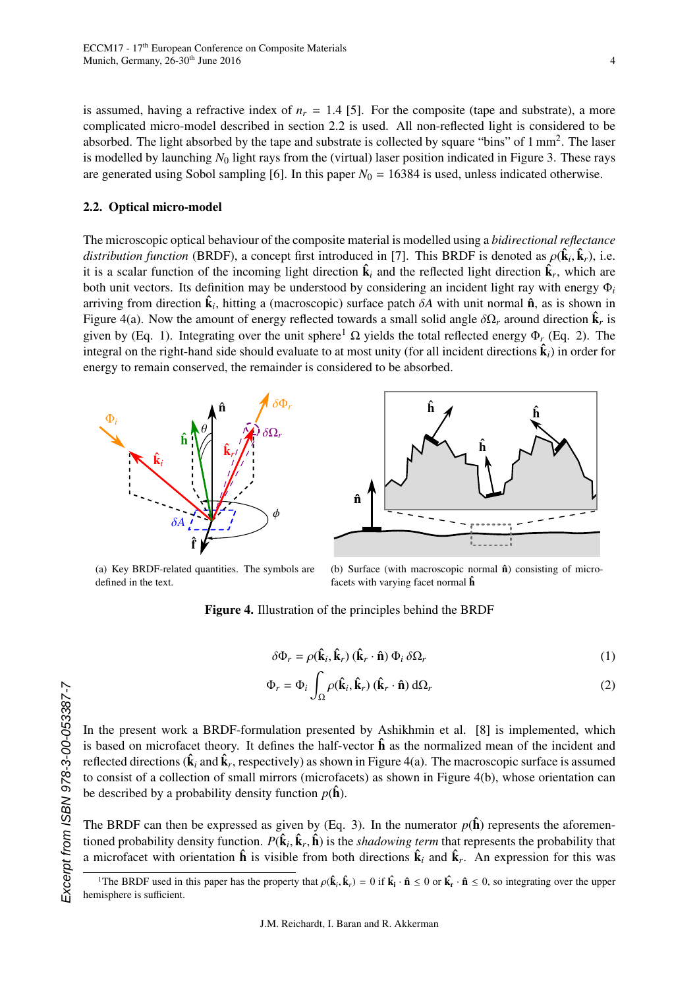is assumed, having a refractive index of  $n_r = 1.4$  [5]. For the composite (tape and substrate), a more complicated micro-model described in section 2.2 is used. All non-reflected light is considered to be absorbed. The light absorbed by the tape and substrate is collected by square "bins" of 1 mm<sup>2</sup>. The laser is modelled by launching  $N_0$  light rays from the (virtual) laser position indicated in Figure 3. These rays are generated using Sobol sampling [6]. In this paper  $N_0 = 16384$  is used, unless indicated otherwise.

#### 2.2. Optical micro-model

The microscopic optical behaviour of the composite material is modelled using a *bidirectional reflectance distribution function* (BRDF), a concept first introduced in [7]. This BRDF is denoted as  $\rho(\hat{\mathbf{k}}_i, \hat{\mathbf{k}}_r)$ , i.e. it is a scalar function of the incoming light direction  $\hat{\mathbf{k}}_i$  and the reflected light direction  $\hat{\mathbf{k}}_r$ , which are both unit vectors. Its definition may be understood by considering an incident light ray with energy Φ*<sup>i</sup>* arriving from direction  $\hat{\mathbf{k}}_i$ , hitting a (macroscopic) surface patch  $\delta A$  with unit normal  $\hat{\mathbf{n}}$ , as is shown in<br>Figure  $A(s)$ . Now the amount of energy reflected towards a small solid angle  $\delta O$ , around direct Figure 4(a). Now the amount of energy reflected towards a small solid angle  $\delta\Omega_r$  around direction  $\hat{\mathbf{k}}_r$  is given by (Eq. 1). Integrating over the unit sphere<sup>1</sup> Q vields the total reflected energy  $\Phi$  (Eq. 2). T given by (Eq. 1). Integrating over the unit sphere<sup>1</sup>  $\Omega$  yields the total reflected energy  $\Phi_r$  (Eq. 2). The integral on the right-hand side should evaluate to at most unity (for all incident directions  $\hat{\mathbf{k}}_i$ ) in order for energy to remain conserved, the remainder is considered to be absorbed.





(a) Key BRDF-related quantities. The symbols are defined in the text.

(b) Surface (with macroscopic normal  $\hat{\mathbf{n}}$ ) consisting of microfacets with varying facet normal  $\hat{h}$ 

Figure 4. Illustration of the principles behind the BRDF

$$
\delta \Phi_r = \rho(\hat{\mathbf{k}}_i, \hat{\mathbf{k}}_r) (\hat{\mathbf{k}}_r \cdot \hat{\mathbf{n}}) \Phi_i \, \delta \Omega_r \tag{1}
$$

$$
\Phi_r = \Phi_i \int_{\Omega} \rho(\hat{\mathbf{k}}_i, \hat{\mathbf{k}}_r) (\hat{\mathbf{k}}_r \cdot \hat{\mathbf{n}}) d\Omega_r
$$
 (2)

In the present work a BRDF-formulation presented by Ashikhmin et al. [8] is implemented, which is based on microfacet theory. It defines the half-vector  $\hat{\bf h}$  as the normalized mean of the incident and reflected directions ( $\hat{\bf k}_i$  and  $\hat{\bf k}_r$ , respectively) as shown in Figure 4(a). The macroscopic surface is assumed to consist of a collection of small mirrors (microfacets) as shown in Figure 4(b), whose orientation can be described by a probability density function  $p(\hat{\mathbf{h}})$ .

The BRDF can then be expressed as given by (Eq. 3). In the numerator  $p(\hat{\bf{h}})$  represents the aforementioned probability density function.  $P(\hat{\mathbf{k}}_i, \hat{\mathbf{k}}_r, \hat{\mathbf{h}})$  is the *shadowing term* that represents the probability that a microfacet with orientation  $\hat{\mathbf{h}}$  is visible from both directions  $\hat{\mathbf{k}}_i$  and a microfacet with orientation  $\hat{\mathbf{h}}$  is visible from both directions  $\hat{\mathbf{k}}_i$  and  $\hat{\mathbf{k}}_r$ . An expression for this was

<sup>&</sup>lt;sup>1</sup>The BRDF used in this paper has the property that  $\rho(\hat{\mathbf{k}}_i, \hat{\mathbf{k}}_r) = 0$  if  $\hat{\mathbf{k}}_i \cdot \hat{\mathbf{n}} \le 0$  or  $\hat{\mathbf{k}}_r \cdot \hat{\mathbf{n}} \le 0$ , so integrating over the upper prisphere is sufficient. hemisphere is sufficient.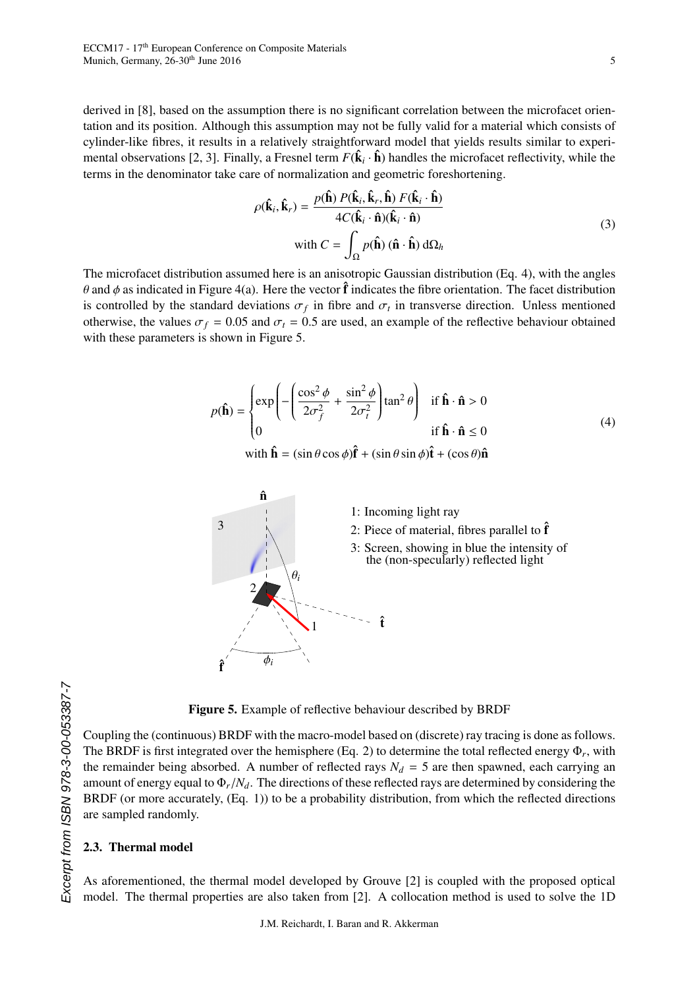derived in [8], based on the assumption there is no significant correlation between the microfacet orientation and its position. Although this assumption may not be fully valid for a material which consists of cylinder-like fibres, it results in a relatively straightforward model that yields results similar to experimental observations [2, 3]. Finally, a Fresnel term  $F(\hat{\mathbf{k}}_i \cdot \hat{\mathbf{h}})$  handles the microfacet reflectivity, while the terms in the denominator take care of normalization and geometric foreshortening.

$$
\rho(\hat{\mathbf{k}}_i, \hat{\mathbf{k}}_r) = \frac{p(\hat{\mathbf{h}}) P(\hat{\mathbf{k}}_i, \hat{\mathbf{k}}_r, \hat{\mathbf{h}}) F(\hat{\mathbf{k}}_i \cdot \hat{\mathbf{h}})}{4C(\hat{\mathbf{k}}_i \cdot \hat{\mathbf{n}})(\hat{\mathbf{k}}_i \cdot \hat{\mathbf{n}})}
$$
  
with  $C = \int_{\Omega} p(\hat{\mathbf{h}}) (\hat{\mathbf{n}} \cdot \hat{\mathbf{h}}) d\Omega_h$  (3)

The microfacet distribution assumed here is an anisotropic Gaussian distribution (Eq. 4), with the angles  $\theta$  and  $\phi$  as indicated in Figure 4(a). Here the vector  $\hat{\bf f}$  indicates the fibre orientation. The facet distribution is controlled by the standard deviations  $\sigma_f$  in fibre and  $\sigma_t$  in transverse direction. Unless mentioned<br>otherwise the values  $\sigma_s = 0.05$  and  $\sigma_s = 0.5$  are used an example of the reflective behaviour obtained otherwise, the values  $\sigma_f = 0.05$  and  $\sigma_t = 0.5$  are used, an example of the reflective behaviour obtained with these parameters is shown in Figure 5.

$$
p(\hat{\mathbf{h}}) = \begin{cases} \exp\left(-\left(\frac{\cos^2 \phi}{2\sigma_f^2} + \frac{\sin^2 \phi}{2\sigma_t^2}\right) \tan^2 \theta\right) & \text{if } \hat{\mathbf{h}} \cdot \hat{\mathbf{n}} > 0\\ 0 & \text{if } \hat{\mathbf{h}} \cdot \hat{\mathbf{n}} \le 0 \end{cases}
$$
(4)

with  $\hat{\mathbf{h}} = (\sin \theta \cos \phi) \hat{\mathbf{f}} + (\sin \theta \sin \phi) \hat{\mathbf{t}} + (\cos \theta) \hat{\mathbf{n}}$ 



Figure 5. Example of reflective behaviour described by BRDF

Coupling the (continuous) BRDF with the macro-model based on (discrete) ray tracing is done as follows. The BRDF is first integrated over the hemisphere  $(Eq. 2)$  to determine the total reflected energy  $\Phi_r$ , with the remainder being absorbed. A number of reflected rays  $N_d = 5$  are then spawned, each carrying an amount of energy equal to <sup>Φ</sup>*r*/*Nd*. The directions of these reflected rays are determined by considering the BRDF (or more accurately, (Eq. 1)) to be a probability distribution, from which the reflected directions are sampled randomly.

## 2.3. Thermal model

As aforementioned, the thermal model developed by Grouve [2] is coupled with the proposed optical model. The thermal properties are also taken from [2]. A collocation method is used to solve the 1D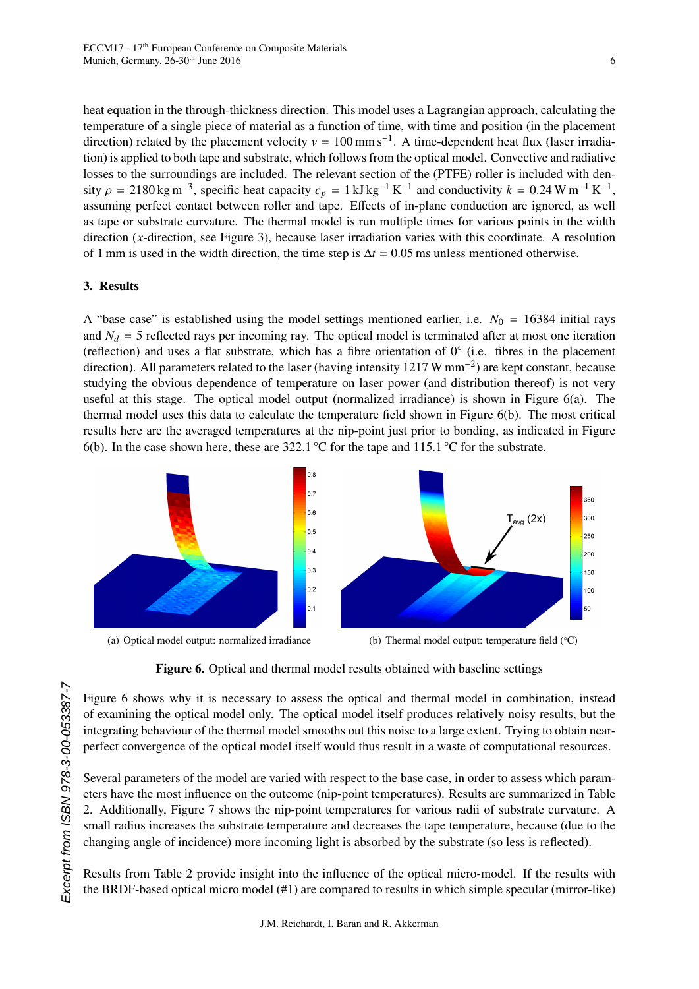heat equation in the through-thickness direction. This model uses a Lagrangian approach, calculating the temperature of a single piece of material as a function of time, with time and position (in the placement direction) related by the placement velocity  $v = 100$  mm s<sup>-1</sup>. A time-dependent heat flux (laser irradiation) is applied to both tape and substrate, which follows from the optical model. Convective and radiative losses to the surroundings are included. The relevant section of the (PTFE) roller is included with density  $\rho = 2180 \text{ kg m}^{-3}$ , specific heat capacity  $c_p = 1 \text{ kJ kg}^{-1} \text{ K}^{-1}$  and conductivity  $k = 0.24 \text{ W m}^{-1} \text{ K}^{-1}$ , assuming perfect contact between roller and tape. Effects of in-plane conduction are ignored, as well as tape or substrate curvature. The thermal model is run multiple times for various points in the width direction (*x*-direction, see Figure 3), because laser irradiation varies with this coordinate. A resolution of 1 mm is used in the width direction, the time step is <sup>∆</sup>*<sup>t</sup>* <sup>=</sup> <sup>0</sup>.05 ms unless mentioned otherwise.

#### 3. Results

A "base case" is established using the model settings mentioned earlier, i.e.  $N_0 = 16384$  initial rays and  $N_d = 5$  reflected rays per incoming ray. The optical model is terminated after at most one iteration (reflection) and uses a flat substrate, which has a fibre orientation of 0◦ (i.e. fibres in the placement direction). All parameters related to the laser (having intensity  $1217 \text{ W mm}^{-2}$ ) are kept constant, because studying the obvious dependence of temperature on laser power (and distribution thereof) is not very useful at this stage. The optical model output (normalized irradiance) is shown in Figure 6(a). The thermal model uses this data to calculate the temperature field shown in Figure 6(b). The most critical results here are the averaged temperatures at the nip-point just prior to bonding, as indicated in Figure 6(b). In the case shown here, these are 322.1 °C for the tape and 115.1 °C for the substrate.



Figure 6. Optical and thermal model results obtained with baseline settings

Figure 6 shows why it is necessary to assess the optical and thermal model in combination, instead of examining the optical model only. The optical model itself produces relatively noisy results, but the integrating behaviour of the thermal model smooths out this noise to a large extent. Trying to obtain nearperfect convergence of the optical model itself would thus result in a waste of computational resources.

Several parameters of the model are varied with respect to the base case, in order to assess which parameters have the most influence on the outcome (nip-point temperatures). Results are summarized in Table 2. Additionally, Figure 7 shows the nip-point temperatures for various radii of substrate curvature. A small radius increases the substrate temperature and decreases the tape temperature, because (due to the changing angle of incidence) more incoming light is absorbed by the substrate (so less is reflected).

Results from Table 2 provide insight into the influence of the optical micro-model. If the results with the BRDF-based optical micro model (#1) are compared to results in which simple specular (mirror-like)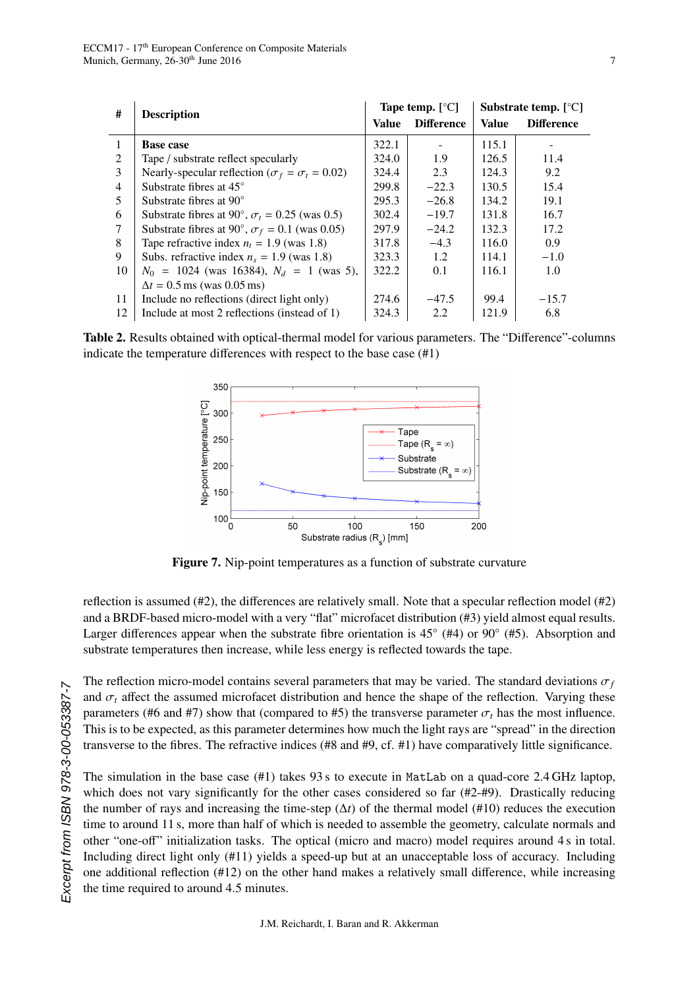| #              | <b>Description</b>                                          | Tape temp. $[°C]$ |                   | Substrate temp. $[^{\circ}C]$ |                   |
|----------------|-------------------------------------------------------------|-------------------|-------------------|-------------------------------|-------------------|
|                |                                                             | Value             | <b>Difference</b> | Value                         | <b>Difference</b> |
| 1              | <b>Base case</b>                                            | 322.1             |                   | 115.1                         |                   |
| $\mathfrak{D}$ | Tape / substrate reflect specularly                         | 324.0             | 1.9               | 126.5                         | 11.4              |
| 3              | Nearly-specular reflection ( $\sigma_f = \sigma_t = 0.02$ ) | 324.4             | 2.3               | 124.3                         | 9.2               |
| 4              | Substrate fibres at $45^{\circ}$                            | 299.8             | $-22.3$           | 130.5                         | 15.4              |
| 5              | Substrate fibres at $90^{\circ}$                            | 295.3             | $-26.8$           | 134.2                         | 19.1              |
| 6              | Substrate fibres at 90°, $\sigma_t$ = 0.25 (was 0.5)        | 302.4             | $-19.7$           | 131.8                         | 16.7              |
| 7              | Substrate fibres at 90°, $\sigma_f$ = 0.1 (was 0.05)        | 297.9             | $-24.2$           | 132.3                         | 17.2              |
| 8              | Tape refractive index $n_t = 1.9$ (was 1.8)                 | 317.8             | $-4.3$            | 116.0                         | 0.9               |
| 9              | Subs. refractive index $n_s = 1.9$ (was 1.8)                | 323.3             | 1.2               | 114.1                         | $-1.0$            |
| 10             | $N_0$ = 1024 (was 16384), $N_d$ = 1 (was 5),                | 322.2             | 0.1               | 116.1                         | 1.0               |
|                | $\Delta t = 0.5$ ms (was 0.05 ms)                           |                   |                   |                               |                   |
| 11             | Include no reflections (direct light only)                  | 274.6             | $-47.5$           | 99.4                          | $-15.7$           |
| 12             | Include at most 2 reflections (instead of 1)                | 324.3             | 2.2               | 121.9                         | 6.8               |
|                |                                                             |                   |                   |                               |                   |

Table 2. Results obtained with optical-thermal model for various parameters. The "Difference"-columns indicate the temperature differences with respect to the base case (#1)



Figure 7. Nip-point temperatures as a function of substrate curvature

reflection is assumed (#2), the differences are relatively small. Note that a specular reflection model (#2) and a BRDF-based micro-model with a very "flat" microfacet distribution (#3) yield almost equal results. Larger differences appear when the substrate fibre orientation is  $45^{\circ}$  (#4) or  $90^{\circ}$  (#5). Absorption and substrate temperatures then increase, while less energy is reflected towards the tape.

The reflection micro-model contains several parameters that may be varied. The standard deviations  $\sigma_f$ and  $\sigma_t$  affect the assumed microfacet distribution and hence the shape of the reflection. Varying these parameters (#6 and #7) show that (compared to #5) the transverse parameter  $\sigma_t$  has the most influence. This is to be expected, as this parameter determines how much the light rays are "spread" in the direction transverse to the fibres. The refractive indices (#8 and #9, cf. #1) have comparatively little significance.

The simulation in the base case (#1) takes 93 s to execute in MatLab on a quad-core 2.4 GHz laptop, which does not vary significantly for the other cases considered so far  $(\#2+\#9)$ . Drastically reducing the number of rays and increasing the time-step  $(\Delta t)$  of the thermal model (#10) reduces the execution time to around 11 s, more than half of which is needed to assemble the geometry, calculate normals and other "one-off" initialization tasks. The optical (micro and macro) model requires around 4 s in total. Including direct light only (#11) yields a speed-up but at an unacceptable loss of accuracy. Including one additional reflection (#12) on the other hand makes a relatively small difference, while increasing the time required to around 4.5 minutes.